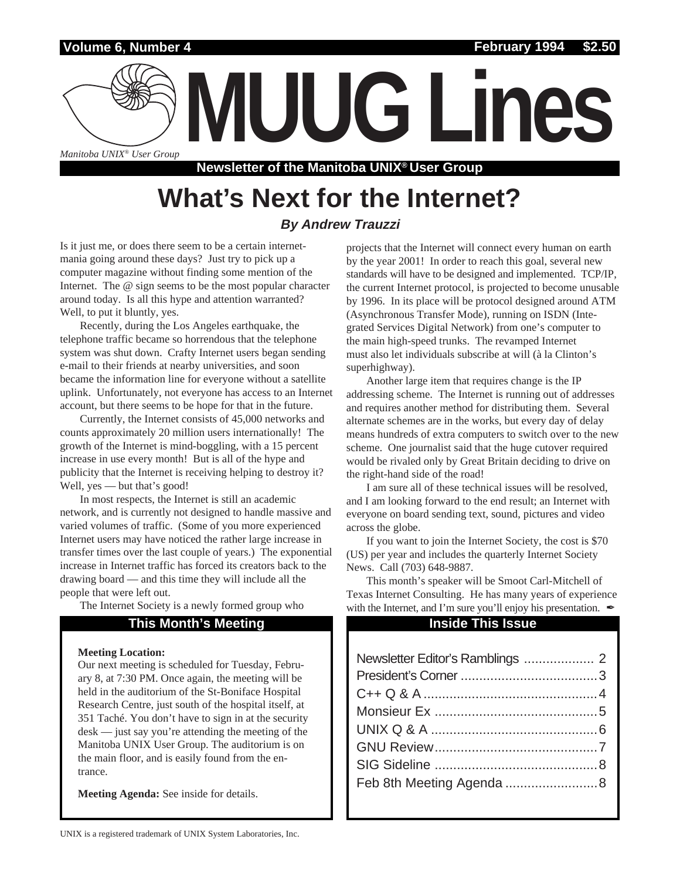### **Volume 6, Number 4**

*Manitoba UNIX® User Group*

**Newsletter of the Manitoba UNIX® User Group**

**MUUG Lines**

## **What's Next for the Internet? By Andrew Trauzzi**

Is it just me, or does there seem to be a certain internetmania going around these days? Just try to pick up a computer magazine without finding some mention of the Internet. The @ sign seems to be the most popular character around today. Is all this hype and attention warranted? Well, to put it bluntly, yes.

Recently, during the Los Angeles earthquake, the telephone traffic became so horrendous that the telephone system was shut down. Crafty Internet users began sending e-mail to their friends at nearby universities, and soon became the information line for everyone without a satellite uplink. Unfortunately, not everyone has access to an Internet account, but there seems to be hope for that in the future.

Currently, the Internet consists of 45,000 networks and counts approximately 20 million users internationally! The growth of the Internet is mind-boggling, with a 15 percent increase in use every month! But is all of the hype and publicity that the Internet is receiving helping to destroy it? Well, yes — but that's good!

In most respects, the Internet is still an academic network, and is currently not designed to handle massive and varied volumes of traffic. (Some of you more experienced Internet users may have noticed the rather large increase in transfer times over the last couple of years.) The exponential increase in Internet traffic has forced its creators back to the drawing board — and this time they will include all the people that were left out.

The Internet Society is a newly formed group who

### **This Month's Meeting Inside This Issue**

#### **Meeting Location:**

Our next meeting is scheduled for Tuesday, February 8, at 7:30 PM. Once again, the meeting will be held in the auditorium of the St-Boniface Hospital Research Centre, just south of the hospital itself, at 351 Taché. You don't have to sign in at the security desk — just say you're attending the meeting of the Manitoba UNIX User Group. The auditorium is on the main floor, and is easily found from the entrance.

**Meeting Agenda:** See inside for details.

projects that the Internet will connect every human on earth by the year 2001! In order to reach this goal, several new standards will have to be designed and implemented. TCP/IP, the current Internet protocol, is projected to become unusable by 1996. In its place will be protocol designed around ATM (Asynchronous Transfer Mode), running on ISDN (Integrated Services Digital Network) from one's computer to the main high-speed trunks. The revamped Internet must also let individuals subscribe at will (à la Clinton's superhighway).

Another large item that requires change is the IP addressing scheme. The Internet is running out of addresses and requires another method for distributing them. Several alternate schemes are in the works, but every day of delay means hundreds of extra computers to switch over to the new scheme. One journalist said that the huge cutover required would be rivaled only by Great Britain deciding to drive on the right-hand side of the road!

I am sure all of these technical issues will be resolved, and I am looking forward to the end result; an Internet with everyone on board sending text, sound, pictures and video across the globe.

If you want to join the Internet Society, the cost is \$70 (US) per year and includes the quarterly Internet Society News. Call (703) 648-9887.

This month's speaker will be Smoot Carl-Mitchell of Texas Internet Consulting. He has many years of experience with the Internet, and I'm sure you'll enjoy his presentation.  $\blacktriangle$ 

| Feb 8th Meeting Agenda 8 |  |
|--------------------------|--|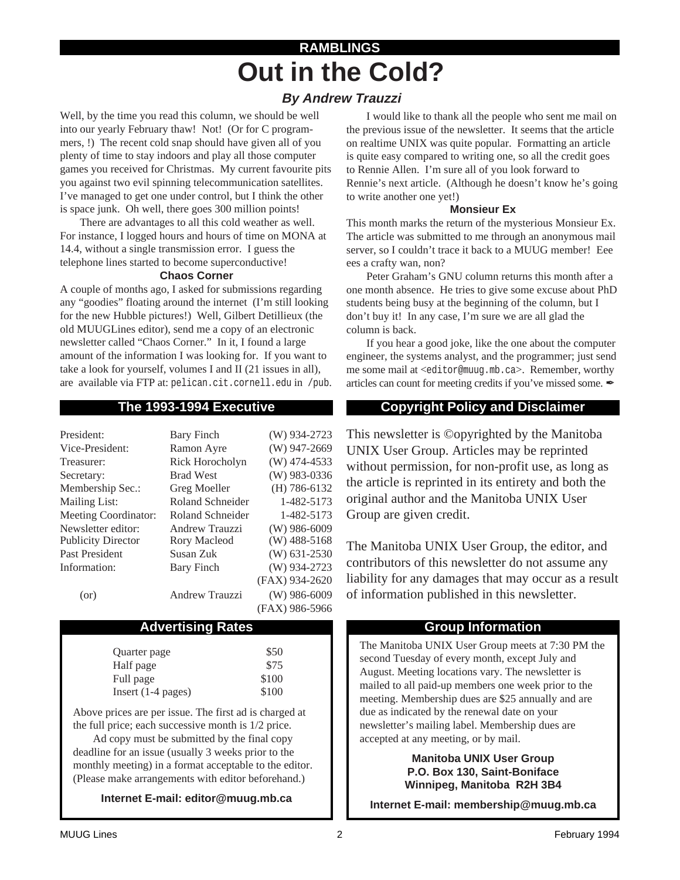# **Out in the Cold? RAMBLINGS**

## **By Andrew Trauzzi**

Well, by the time you read this column, we should be well into our yearly February thaw! Not! (Or for C programmers, !) The recent cold snap should have given all of you plenty of time to stay indoors and play all those computer games you received for Christmas. My current favourite pits you against two evil spinning telecommunication satellites. I've managed to get one under control, but I think the other is space junk. Oh well, there goes 300 million points!

There are advantages to all this cold weather as well. For instance, I logged hours and hours of time on MONA at 14.4, without a single transmission error. I guess the telephone lines started to become superconductive!

#### **Chaos Corner**

A couple of months ago, I asked for submissions regarding any "goodies" floating around the internet (I'm still looking for the new Hubble pictures!) Well, Gilbert Detillieux (the old MUUGLines editor), send me a copy of an electronic newsletter called "Chaos Corner." In it, I found a large amount of the information I was looking for. If you want to take a look for yourself, volumes I and II (21 issues in all), are available via FTP at: pelican.cit.cornell.edu in /pub.

| President:                | <b>Bary Finch</b>       | (W) 934-2723   |
|---------------------------|-------------------------|----------------|
| Vice-President:           | Ramon Ayre              | (W) 947-2669   |
| Treasurer:                | Rick Horocholyn         | $(W)$ 474-4533 |
| Secretary:                | <b>Brad West</b>        | $(W)$ 983-0336 |
| Membership Sec.:          | Greg Moeller            | $(H)$ 786-6132 |
| <b>Mailing List:</b>      | <b>Roland Schneider</b> | 1-482-5173     |
| Meeting Coordinator:      | Roland Schneider        | 1-482-5173     |
| Newsletter editor:        | Andrew Trauzzi          | $(W)$ 986-6009 |
| <b>Publicity Director</b> | Rory Macleod            | $(W)$ 488-5168 |
| <b>Past President</b>     | Susan Zuk               | $(W)$ 631-2530 |
| Information:              | <b>Bary Finch</b>       | (W) 934-2723   |
|                           |                         | (FAX) 934-2620 |
| (or)                      | Andrew Trauzzi          | $(W)$ 986-6009 |
|                           |                         | (FAX) 986-5966 |
|                           |                         |                |

### Advertising Rates **Group Information**

| Quarter page         | \$50  |
|----------------------|-------|
| Half page            | \$75  |
| Full page            | \$100 |
| Insert $(1-4$ pages) | \$100 |

Above prices are per issue. The first ad is charged at the full price; each successive month is 1/2 price.

Ad copy must be submitted by the final copy deadline for an issue (usually 3 weeks prior to the monthly meeting) in a format acceptable to the editor. (Please make arrangements with editor beforehand.)

**Internet E-mail: editor@muug.mb.ca**

I would like to thank all the people who sent me mail on the previous issue of the newsletter. It seems that the article on realtime UNIX was quite popular. Formatting an article is quite easy compared to writing one, so all the credit goes to Rennie Allen. I'm sure all of you look forward to Rennie's next article. (Although he doesn't know he's going to write another one yet!)

#### **Monsieur Ex**

This month marks the return of the mysterious Monsieur Ex. The article was submitted to me through an anonymous mail server, so I couldn't trace it back to a MUUG member! Eee ees a crafty wan, non?

Peter Graham's GNU column returns this month after a one month absence. He tries to give some excuse about PhD students being busy at the beginning of the column, but I don't buy it! In any case, I'm sure we are all glad the column is back.

If you hear a good joke, like the one about the computer engineer, the systems analyst, and the programmer; just send me some mail at <editor@muug.mb.ca>. Remember, worthy articles can count for meeting credits if you've missed some.

### **The 1993-1994 Executive Copyright Policy and Disclaimer**

This newsletter is ©opyrighted by the Manitoba UNIX User Group. Articles may be reprinted without permission, for non-profit use, as long as the article is reprinted in its entirety and both the original author and the Manitoba UNIX User Group are given credit.

The Manitoba UNIX User Group, the editor, and contributors of this newsletter do not assume any liability for any damages that may occur as a result of information published in this newsletter.

The Manitoba UNIX User Group meets at 7:30 PM the second Tuesday of every month, except July and August. Meeting locations vary. The newsletter is mailed to all paid-up members one week prior to the meeting. Membership dues are \$25 annually and are due as indicated by the renewal date on your newsletter's mailing label. Membership dues are accepted at any meeting, or by mail.

> **Manitoba UNIX User Group P.O. Box 130, Saint-Boniface Winnipeg, Manitoba R2H 3B4**

**Internet E-mail: membership@muug.mb.ca**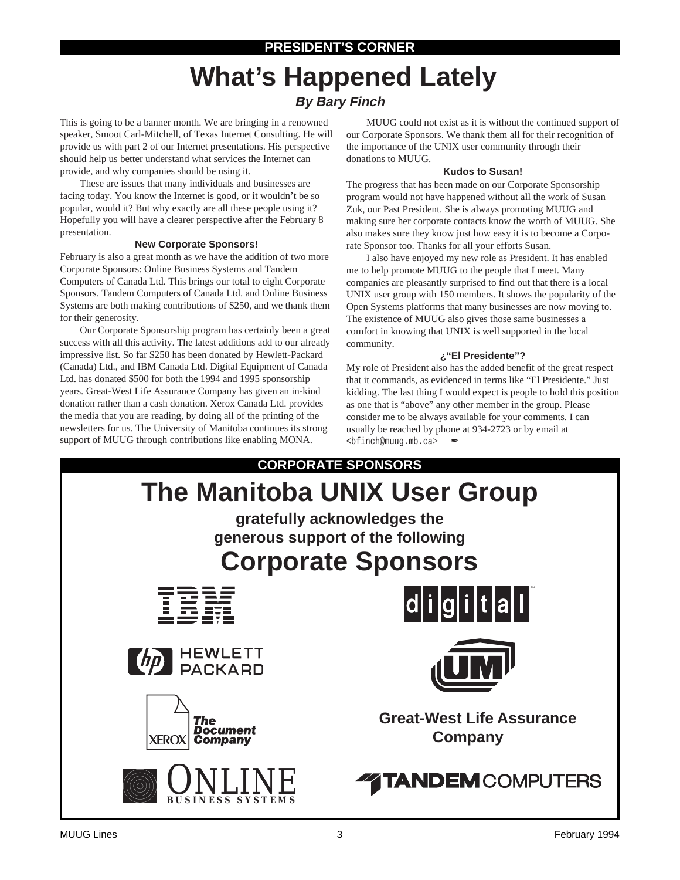### **PRESIDENT'S CORNER**

# **What's Happened Lately**

### **By Bary Finch**

This is going to be a banner month. We are bringing in a renowned speaker, Smoot Carl-Mitchell, of Texas Internet Consulting. He will provide us with part 2 of our Internet presentations. His perspective should help us better understand what services the Internet can provide, and why companies should be using it.

These are issues that many individuals and businesses are facing today. You know the Internet is good, or it wouldn't be so popular, would it? But why exactly are all these people using it? Hopefully you will have a clearer perspective after the February 8 presentation.

#### **New Corporate Sponsors!**

February is also a great month as we have the addition of two more Corporate Sponsors: Online Business Systems and Tandem Computers of Canada Ltd. This brings our total to eight Corporate Sponsors. Tandem Computers of Canada Ltd. and Online Business Systems are both making contributions of \$250, and we thank them for their generosity.

Our Corporate Sponsorship program has certainly been a great success with all this activity. The latest additions add to our already impressive list. So far \$250 has been donated by Hewlett-Packard (Canada) Ltd., and IBM Canada Ltd. Digital Equipment of Canada Ltd. has donated \$500 for both the 1994 and 1995 sponsorship years. Great-West Life Assurance Company has given an in-kind donation rather than a cash donation. Xerox Canada Ltd. provides the media that you are reading, by doing all of the printing of the newsletters for us. The University of Manitoba continues its strong support of MUUG through contributions like enabling MONA.

MUUG could not exist as it is without the continued support of our Corporate Sponsors. We thank them all for their recognition of the importance of the UNIX user community through their donations to MUUG.

#### **Kudos to Susan!**

The progress that has been made on our Corporate Sponsorship program would not have happened without all the work of Susan Zuk, our Past President. She is always promoting MUUG and making sure her corporate contacts know the worth of MUUG. She also makes sure they know just how easy it is to become a Corporate Sponsor too. Thanks for all your efforts Susan.

I also have enjoyed my new role as President. It has enabled me to help promote MUUG to the people that I meet. Many companies are pleasantly surprised to find out that there is a local UNIX user group with 150 members. It shows the popularity of the Open Systems platforms that many businesses are now moving to. The existence of MUUG also gives those same businesses a comfort in knowing that UNIX is well supported in the local community.

#### **¿"El Presidente"?**

My role of President also has the added benefit of the great respect that it commands, as evidenced in terms like "El Presidente." Just kidding. The last thing I would expect is people to hold this position as one that is "above" any other member in the group. Please consider me to be always available for your comments. I can usually be reached by phone at 934-2723 or by email at <bfinch@muug.mb.ca> ✒

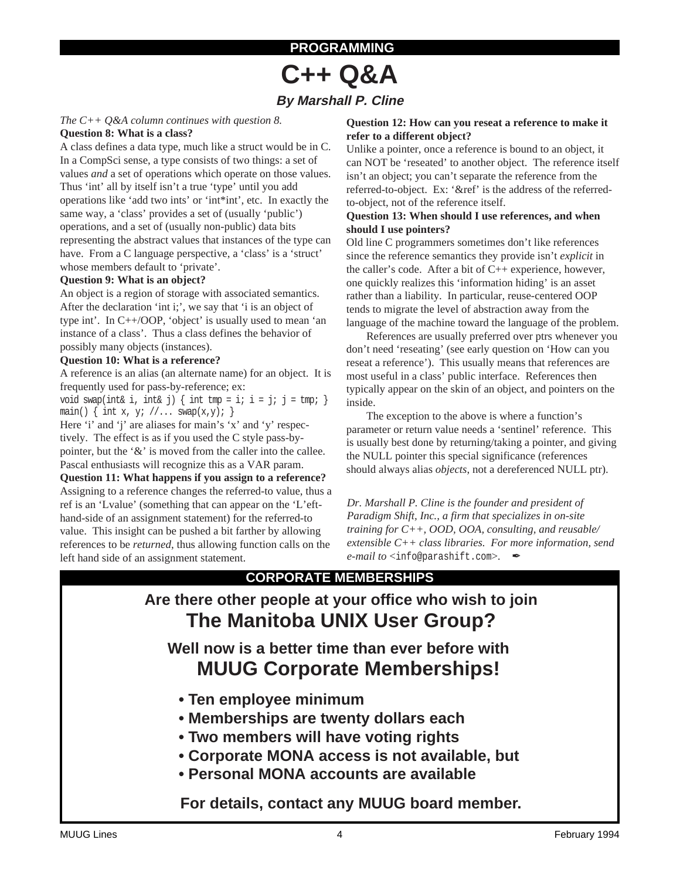# **C++ Q&A**

## **By Marshall P. Cline**

#### *The C++ Q&A column continues with question 8.* **Question 8: What is a class?**

A class defines a data type, much like a struct would be in C. In a CompSci sense, a type consists of two things: a set of values *and* a set of operations which operate on those values. Thus 'int' all by itself isn't a true 'type' until you add operations like 'add two ints' or 'int\*int', etc. In exactly the same way, a 'class' provides a set of (usually 'public') operations, and a set of (usually non-public) data bits representing the abstract values that instances of the type can have. From a C language perspective, a 'class' is a 'struct' whose members default to 'private'.

#### **Question 9: What is an object?**

An object is a region of storage with associated semantics. After the declaration 'int i;', we say that 'i is an object of type int'. In C++/OOP, 'object' is usually used to mean 'an instance of a class'. Thus a class defines the behavior of possibly many objects (instances).

#### **Question 10: What is a reference?**

A reference is an alias (an alternate name) for an object. It is frequently used for pass-by-reference; ex:

void swap(int& i, int& j) { int tmp = i; i = j; j = tmp; } main() { int x, y;  $//...$  swap(x,y); }

Here 'i' and 'j' are aliases for main's 'x' and 'y' respectively. The effect is as if you used the C style pass-bypointer, but the '&' is moved from the caller into the callee. Pascal enthusiasts will recognize this as a VAR param.

**Question 11: What happens if you assign to a reference?** Assigning to a reference changes the referred-to value, thus a ref is an 'Lvalue' (something that can appear on the 'L'efthand-side of an assignment statement) for the referred-to value. This insight can be pushed a bit farther by allowing references to be *returned*, thus allowing function calls on the left hand side of an assignment statement.

#### **Question 12: How can you reseat a reference to make it refer to a different object?**

Unlike a pointer, once a reference is bound to an object, it can NOT be 'reseated' to another object. The reference itself isn't an object; you can't separate the reference from the referred-to-object. Ex: '&ref' is the address of the referredto-object, not of the reference itself.

#### **Question 13: When should I use references, and when should I use pointers?**

Old line C programmers sometimes don't like references since the reference semantics they provide isn't *explicit* in the caller's code. After a bit of C++ experience, however, one quickly realizes this 'information hiding' is an asset rather than a liability. In particular, reuse-centered OOP tends to migrate the level of abstraction away from the language of the machine toward the language of the problem.

References are usually preferred over ptrs whenever you don't need 'reseating' (see early question on 'How can you reseat a reference'). This usually means that references are most useful in a class' public interface. References then typically appear on the skin of an object, and pointers on the inside.

The exception to the above is where a function's parameter or return value needs a 'sentinel' reference. This is usually best done by returning/taking a pointer, and giving the NULL pointer this special significance (references should always alias *objects*, not a dereferenced NULL ptr).

*Dr. Marshall P. Cline is the founder and president of Paradigm Shift, Inc., a firm that specializes in on-site training for C++, OOD, OOA, consulting, and reusable/ extensible C++ class libraries. For more information, send e-mail to* <info@parashift.com>*.* ✒

## **CORPORATE MEMBERSHIPS**

**Are there other people at your office who wish to join The Manitoba UNIX User Group?**

**Well now is a better time than ever before with MUUG Corporate Memberships!**

- **Ten employee minimum**
- **Memberships are twenty dollars each**
- **Two members will have voting rights**
- **Corporate MONA access is not available, but**
- **Personal MONA accounts are available**

**For details, contact any MUUG board member.**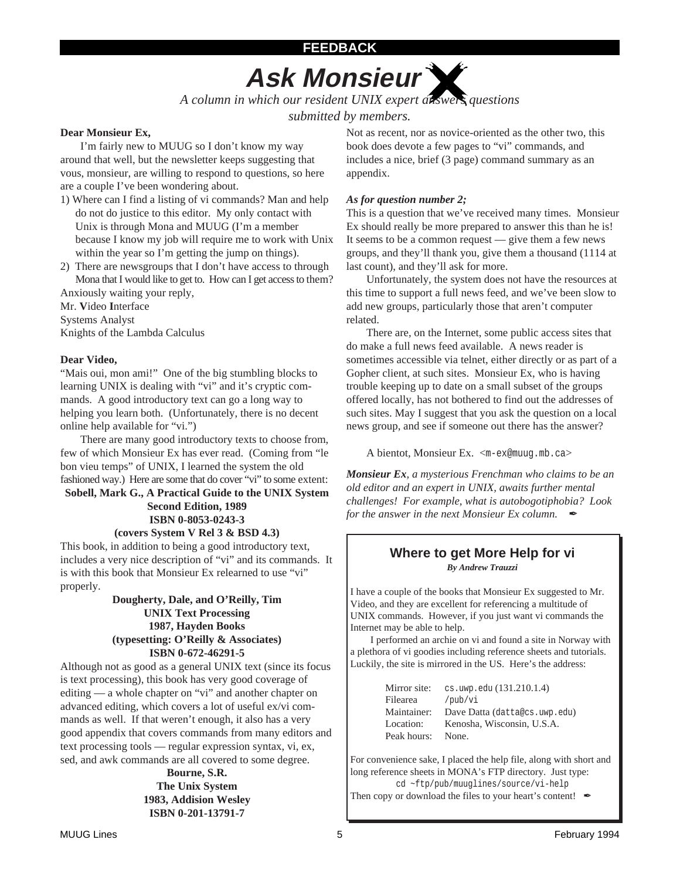## **FEEDBACK**

## **Ask Monsieur**

*A column in which our resident UNIX expert answers questions submitted by members.*

#### **Dear Monsieur Ex,**

I'm fairly new to MUUG so I don't know my way around that well, but the newsletter keeps suggesting that vous, monsieur, are willing to respond to questions, so here are a couple I've been wondering about.

- 1) Where can I find a listing of vi commands? Man and help do not do justice to this editor. My only contact with Unix is through Mona and MUUG (I'm a member because I know my job will require me to work with Unix within the year so I'm getting the jump on things).
- 2) There are newsgroups that I don't have access to through Mona that I would like to get to. How can I get access to them?

Anxiously waiting your reply,

Mr. **V**ideo **I**nterface

Systems Analyst

Knights of the Lambda Calculus

#### **Dear Video,**

"Mais oui, mon ami!" One of the big stumbling blocks to learning UNIX is dealing with "vi" and it's cryptic commands. A good introductory text can go a long way to helping you learn both. (Unfortunately, there is no decent online help available for "vi.")

There are many good introductory texts to choose from, few of which Monsieur Ex has ever read. (Coming from "le bon vieu temps" of UNIX, I learned the system the old fashioned way.) Here are some that do cover "vi" to some extent:

#### **Sobell, Mark G., A Practical Guide to the UNIX System Second Edition, 1989 ISBN 0-8053-0243-3 (covers System V Rel 3 & BSD 4.3)**

This book, in addition to being a good introductory text, includes a very nice description of "vi" and its commands. It is with this book that Monsieur Ex relearned to use "vi" properly.

#### **Dougherty, Dale, and O'Reilly, Tim UNIX Text Processing 1987, Hayden Books (typesetting: O'Reilly & Associates) ISBN 0-672-46291-5**

Although not as good as a general UNIX text (since its focus is text processing), this book has very good coverage of editing — a whole chapter on "vi" and another chapter on advanced editing, which covers a lot of useful ex/vi commands as well. If that weren't enough, it also has a very good appendix that covers commands from many editors and text processing tools — regular expression syntax, vi, ex, sed, and awk commands are all covered to some degree.

> **Bourne, S.R. The Unix System 1983, Addision Wesley ISBN 0-201-13791-7**

Not as recent, nor as novice-oriented as the other two, this book does devote a few pages to "vi" commands, and includes a nice, brief (3 page) command summary as an appendix.

#### *As for question number 2;*

This is a question that we've received many times. Monsieur Ex should really be more prepared to answer this than he is! It seems to be a common request — give them a few news groups, and they'll thank you, give them a thousand (1114 at last count), and they'll ask for more.

Unfortunately, the system does not have the resources at this time to support a full news feed, and we've been slow to add new groups, particularly those that aren't computer related.

There are, on the Internet, some public access sites that do make a full news feed available. A news reader is sometimes accessible via telnet, either directly or as part of a Gopher client, at such sites. Monsieur Ex, who is having trouble keeping up to date on a small subset of the groups offered locally, has not bothered to find out the addresses of such sites. May I suggest that you ask the question on a local news group, and see if someone out there has the answer?

A bientot, Monsieur Ex. <m-ex@muug.mb.ca>

*Monsieur Ex, a mysterious Frenchman who claims to be an old editor and an expert in UNIX, awaits further mental challenges! For example, what is autobogotiphobia? Look for the answer in the next Monsieur Ex column.* 

## **Where to get More Help for vi**

*By Andrew Trauzzi*

I have a couple of the books that Monsieur Ex suggested to Mr. Video, and they are excellent for referencing a multitude of UNIX commands. However, if you just want vi commands the Internet may be able to help.

I performed an archie on vi and found a site in Norway with a plethora of vi goodies including reference sheets and tutorials. Luckily, the site is mirrored in the US. Here's the address:

| Mirror site: | cs.uwp.edu(131.210.1.4)       |
|--------------|-------------------------------|
| Filearea     | /pub/vi                       |
| Maintainer:  | Dave Datta (datta@cs.uwp.edu) |
| Location:    | Kenosha, Wisconsin, U.S.A.    |
| Peak hours:  | None.                         |

For convenience sake, I placed the help file, along with short and long reference sheets in MONA's FTP directory. Just type: cd ~ftp/pub/muuglines/source/vi-help

Then copy or download the files to your heart's content!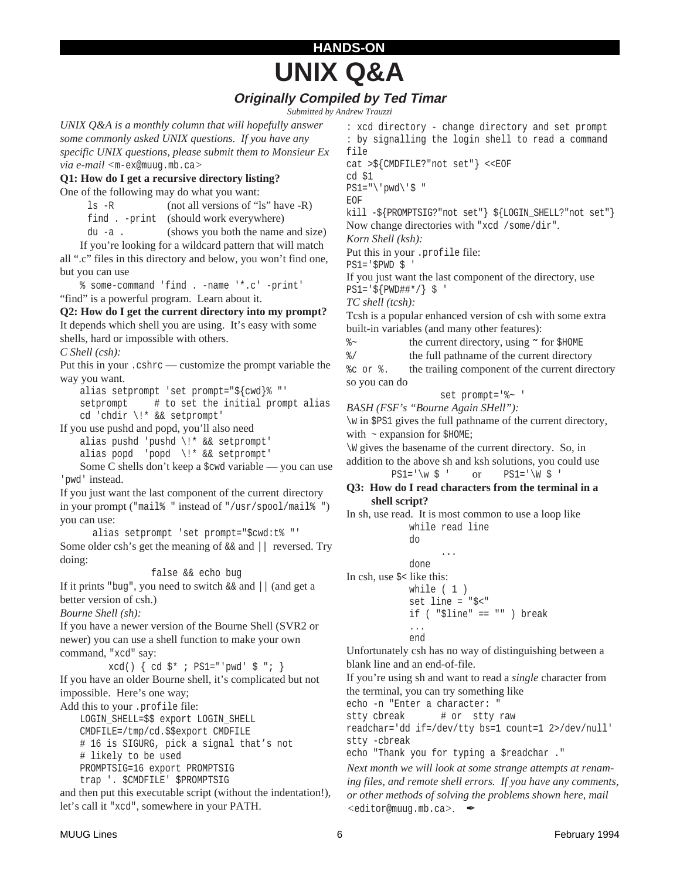## **HANDS-ON UNIX Q&A**

## **Originally Compiled by Ted Timar**

*Submitted by Andrew Trauzzi*

*UNIX Q&A is a monthly column that will hopefully answer some commonly asked UNIX questions. If you have any specific UNIX questions, please submit them to Monsieur Ex via e-mail <*m-ex@muug.mb.ca*>*

#### **Q1: How do I get a recursive directory listing?**

One of the following may do what you want:

ls -R (not all versions of "ls" have -R) find . -print (should work everywhere)

du -a . (shows you both the name and size) If you're looking for a wildcard pattern that will match all ".c" files in this directory and below, you won't find one, but you can use

% some-command 'find . -name '\*.c' -print' "find" is a powerful program. Learn about it.

**Q2: How do I get the current directory into my prompt?** It depends which shell you are using. It's easy with some

shells, hard or impossible with others.

*C Shell (csh):*

Put this in your .cshrc — customize the prompt variable the way you want.

alias setprompt 'set prompt="\${cwd}% "'

setprompt # to set the initial prompt alias cd 'chdir \!\* && setprompt'

If you use pushd and popd, you'll also need

alias pushd 'pushd \!\* && setprompt'

alias popd 'popd \!\* && setprompt'

Some C shells don't keep a \$cwd variable — you can use 'pwd' instead.

If you just want the last component of the current directory in your prompt ("mail% " instead of "/usr/spool/mail% ") you can use:

alias setprompt 'set prompt="\$cwd:t% "' Some older csh's get the meaning of  $\&\&$  and  $||$  reversed. Try doing:

false && echo bug

If it prints "bug", you need to switch  $\&\&$  and  $||$  (and get a better version of csh.)

*Bourne Shell (sh):*

If you have a newer version of the Bourne Shell (SVR2 or newer) you can use a shell function to make your own command, "xcd" say:

xcd() { cd \$\* ; PS1="'pwd' \$ "; }

If you have an older Bourne shell, it's complicated but not impossible. Here's one way;

Add this to your .profile file:

LOGIN\_SHELL=\$\$ export LOGIN\_SHELL CMDFILE=/tmp/cd.\$\$export CMDFILE # 16 is SIGURG, pick a signal that's not # likely to be used PROMPTSIG=16 export PROMPTSIG trap '. \$CMDFILE' \$PROMPTSIG

and then put this executable script (without the indentation!), let's call it "xcd", somewhere in your PATH.

: xcd directory - change directory and set prompt : by signalling the login shell to read a command file

cat >\${CMDFILE?"not set"} <<EOF

cd \$1

 $PS1 = "\U$  pwd $\Upsilon$  "

EOF

kill -\${PROMPTSIG?"not set"} \${LOGIN\_SHELL?"not set"} Now change directories with "xcd /some/dir".

*Korn Shell (ksh):*

Put this in your .profile file:

PS1='\$PWD \$ '

If you just want the last component of the directory, use PS1='\${PWD##\*/} \$ '

*TC shell (tcsh):*

Tcsh is a popular enhanced version of csh with some extra built-in variables (and many other features):

%~ the current directory, using ~ for \$HOME

%/ the full pathname of the current directory

%c or %. the trailing component of the current directory so you can do

set prompt='%~ '

*BASH (FSF's "Bourne Again SHell"):*

\w in \$PS1 gives the full pathname of the current directory, with  $\sim$  expansion for \$HOME;

\W gives the basename of the current directory. So, in

addition to the above sh and ksh solutions, you could use  $PS1 = '\w \$  ' or  $PS1 = '\W \$  '

**Q3: How do I read characters from the terminal in a shell script?**

In sh, use read. It is most common to use a loop like while read line

do

... done

In csh, use \$< like this:

while ( 1 ) set line = "\$<" if ( "\$line" == "" ) break ... end

Unfortunately csh has no way of distinguishing between a blank line and an end-of-file.

If you're using sh and want to read a *single* character from the terminal, you can try something like

echo -n "Enter a character: "

stty cbreak # or stty raw readchar='dd if=/dev/tty bs=1 count=1 2>/dev/null' stty -cbreak

echo "Thank you for typing a \$readchar ."

*Next month we will look at some strange attempts at renaming files, and remote shell errors. If you have any comments, or other methods of solving the problems shown here, mail <*editor@muug.mb.ca*>.* ✒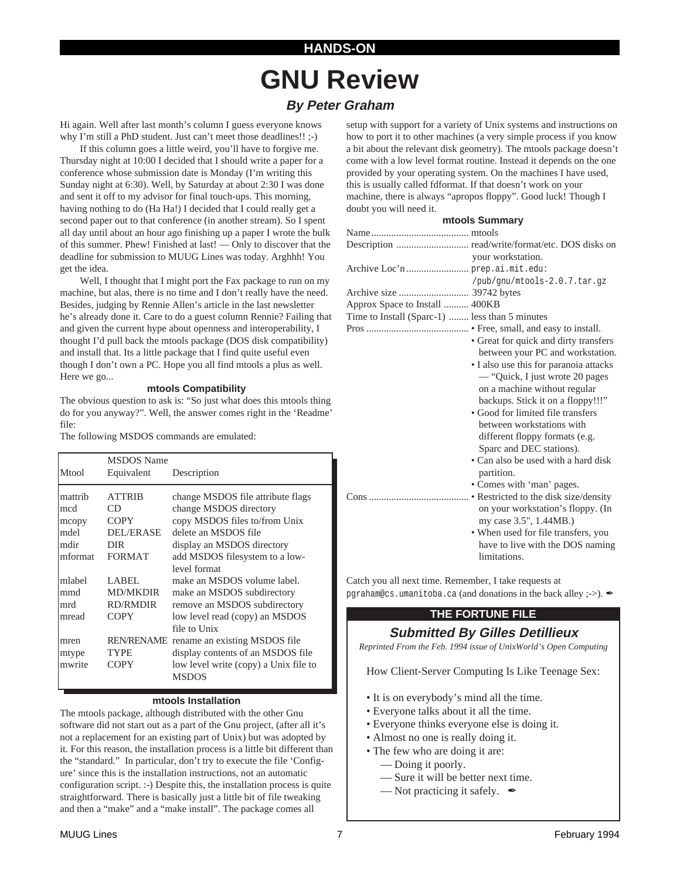### **HANDS-ON**

## **GNU Review By Peter Graham**

Hi again. Well after last month's column I guess everyone knows why I'm still a PhD student. Just can't meet those deadlines!! ;-)

If this column goes a little weird, you'll have to forgive me. Thursday night at 10:00 I decided that I should write a paper for a conference whose submission date is Monday (I'm writing this Sunday night at 6:30). Well, by Saturday at about 2:30 I was done and sent it off to my advisor for final touch-ups. This morning, having nothing to do (Ha Ha!) I decided that I could really get a second paper out to that conference (in another stream). So I spent all day until about an hour ago finishing up a paper I wrote the bulk of this summer. Phew! Finished at last! — Only to discover that the deadline for submission to MUUG Lines was today. Arghhh! You get the idea.

Well, I thought that I might port the Fax package to run on my machine, but alas, there is no time and I don't really have the need. Besides, judging by Rennie Allen's article in the last newsletter he's already done it. Care to do a guest column Rennie? Failing that and given the current hype about openness and interoperability, I thought I'd pull back the mtools package (DOS disk compatibility) and install that. Its a little package that I find quite useful even though I don't own a PC. Hope you all find mtools a plus as well. Here we go...

#### **mtools Compatibility**

The obvious question to ask is: "So just what does this mtools thing do for you anyway?". Well, the answer comes right in the 'Readme' file:

The following MSDOS commands are emulated:

| Mtool                           | <b>MSDOS</b> Name<br>Equivalent                        | Description                                                                                                                                 |
|---------------------------------|--------------------------------------------------------|---------------------------------------------------------------------------------------------------------------------------------------------|
| mattrib<br>mcd<br>mcopy<br>mdel | <b>ATTRIB</b><br>CD<br><b>COPY</b><br><b>DEL/ERASE</b> | change MSDOS file attribute flags<br>change MSDOS directory<br>copy MSDOS files to/from Unix<br>delete an MSDOS file                        |
| mdir<br>mformat                 | <b>DIR</b><br><b>FORMAT</b>                            | display an MSDOS directory<br>add MSDOS filesystem to a low-<br>level format                                                                |
| mlabel<br>mmd<br>mrd<br>mread   | LABEL<br><b>MD/MKDIR</b><br>RD/RMDIR<br><b>COPY</b>    | make an MSDOS volume label.<br>make an MSDOS subdirectory<br>remove an MSDOS subdirectory<br>low level read (copy) an MSDOS<br>file to Unix |
| mren<br>mtype<br>mwrite         | TYPE<br>COPY                                           | REN/RENAME rename an existing MSDOS file<br>display contents of an MSDOS file<br>low level write (copy) a Unix file to<br><b>MSDOS</b>      |

#### **mtools Installation**

The mtools package, although distributed with the other Gnu software did not start out as a part of the Gnu project, (after all it's not a replacement for an existing part of Unix) but was adopted by it. For this reason, the installation process is a little bit different than the "standard." In particular, don't try to execute the file 'Configure' since this is the installation instructions, not an automatic configuration script. :-) Despite this, the installation process is quite straightforward. There is basically just a little bit of file tweaking and then a "make" and a "make install". The package comes all

setup with support for a variety of Unix systems and instructions on how to port it to other machines (a very simple process if you know a bit about the relevant disk geometry). The mtools package doesn't come with a low level format routine. Instead it depends on the one provided by your operating system. On the machines I have used, this is usually called fdformat. If that doesn't work on your machine, there is always "apropos floppy". Good luck! Though I doubt you will need it.

#### **mtools Summary**

|                                                | your workstation.                      |
|------------------------------------------------|----------------------------------------|
|                                                |                                        |
|                                                | /pub/gnu/mtools-2.0.7.tar.gz           |
|                                                |                                        |
| Approx Space to Install  400KB                 |                                        |
| Time to Install (Sparc-1)  less than 5 minutes |                                        |
|                                                |                                        |
|                                                | • Great for quick and dirty transfers  |
|                                                | between your PC and workstation.       |
|                                                | • I also use this for paranoia attacks |
|                                                | — "Quick, I just wrote 20 pages        |
|                                                | on a machine without regular           |
|                                                | backups. Stick it on a floppy!!!"      |
|                                                | • Good for limited file transfers      |
|                                                | between workstations with              |
|                                                | different floppy formats (e.g.         |
|                                                | Sparc and DEC stations).               |
|                                                | • Can also be used with a hard disk    |
|                                                | partition.                             |
|                                                | • Comes with 'man' pages.              |
|                                                | • Restricted to the disk size/density  |
|                                                | on your workstation's floppy. (In      |
|                                                | my case 3.5", 1.44MB.)                 |
|                                                | • When used for file transfers, you    |
|                                                | have to live with the DOS naming       |
|                                                | limitations.                           |

Catch you all next time. Remember, I take requests at pgraham@cs.umanitoba.ca (and donations in the back alley ;->).

### **THE FORTUNE FILE**

### **Submitted By Gilles Detillieux**

*Reprinted From the Feb. 1994 issue of UnixWorld's Open Computing*

How Client-Server Computing Is Like Teenage Sex:

- It is on everybody's mind all the time.
- Everyone talks about it all the time.
- Everyone thinks everyone else is doing it.
- Almost no one is really doing it.
- The few who are doing it are:
	- Doing it poorly.
	- Sure it will be better next time.
	- Not practicing it safely.  $\mathscr{L}$